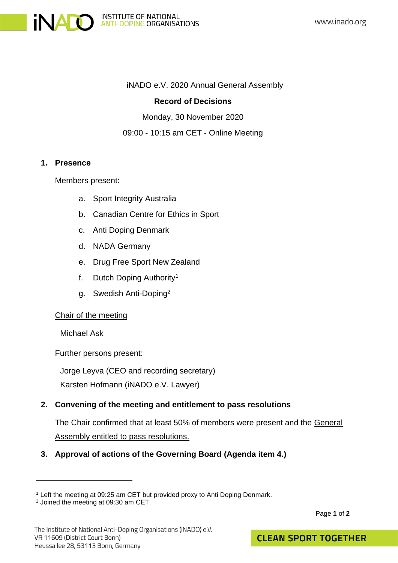

#### iNADO e.V. 2020 Annual General Assembly

### **Record of Decisions**

Monday, 30 November 2020

09:00 - 10:15 am CET - Online Meeting

### **1. Presence**

Members present:

- a. Sport Integrity Australia
- b. Canadian Centre for Ethics in Sport
- c. Anti Doping Denmark
- d. NADA Germany
- e. Drug Free Sport New Zealand
- f. Dutch Doping Authority<sup>1</sup>
- g. Swedish Anti-Doping<sup>2</sup>

# Chair of the meeting

Michael Ask

#### Further persons present:

Jorge Leyva (CEO and recording secretary) Karsten Hofmann (iNADO e.V. Lawyer)

# **2. Convening of the meeting and entitlement to pass resolutions**

The Chair confirmed that at least 50% of members were present and the General Assembly entitled to pass resolutions.

# **3. Approval of actions of the Governing Board (Agenda item 4.)**

<sup>1</sup> Left the meeting at 09:25 am CET but provided proxy to Anti Doping Denmark.

<sup>2</sup> Joined the meeting at 09:30 am CET.